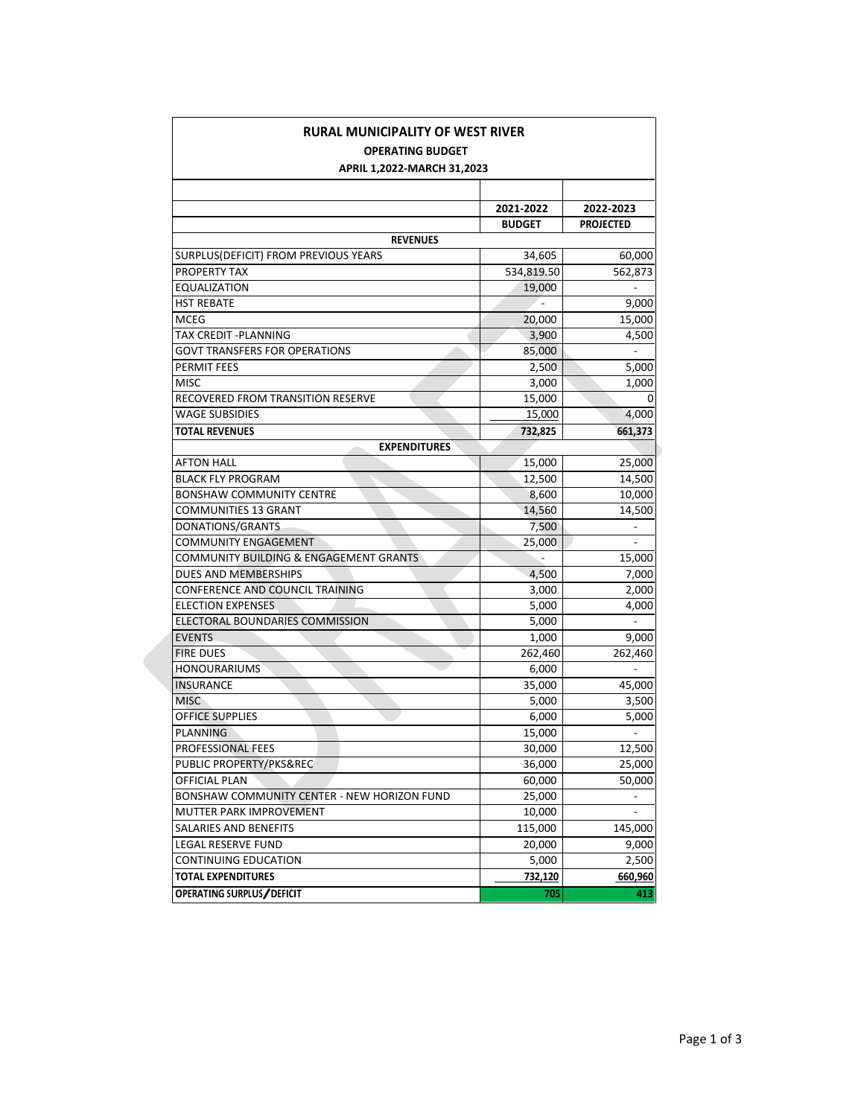| RURAL MUNICIPALITY OF WEST RIVER            |                |                          |  |  |
|---------------------------------------------|----------------|--------------------------|--|--|
| <b>OPERATING BUDGET</b>                     |                |                          |  |  |
| APRIL 1,2022-MARCH 31,2023                  |                |                          |  |  |
|                                             |                |                          |  |  |
|                                             | 2021-2022      | 2022-2023                |  |  |
|                                             | <b>BUDGET</b>  | <b>PROJECTED</b>         |  |  |
| <b>REVENUES</b>                             |                |                          |  |  |
| SURPLUS(DEFICIT) FROM PREVIOUS YEARS        | 34,605         | 60,000                   |  |  |
| PROPERTY TAX                                | 534,819.50     | 562,873                  |  |  |
| EQUALIZATION                                | 19,000         | $\overline{\phantom{a}}$ |  |  |
| <b>HST REBATE</b>                           |                | 9,000                    |  |  |
| <b>MCEG</b>                                 | 20,000         | 15,000                   |  |  |
| TAX CREDIT - PLANNING                       | 3,900          | 4,500                    |  |  |
| GOVT TRANSFERS FOR OPERATIONS               | 85,000         | $\overline{\phantom{a}}$ |  |  |
| <b>PERMIT FEES</b>                          | 2,500          | 5,000                    |  |  |
| <b>MISC</b>                                 | 3,000          | 1,000                    |  |  |
| RECOVERED FROM TRANSITION RESERVE           | 15,000         | 0                        |  |  |
| <b>WAGE SUBSIDIES</b>                       | 15,000         | 4,000                    |  |  |
| <b>TOTAL REVENUES</b>                       | 732,825        | 661,373                  |  |  |
| <b>EXPENDITURES</b>                         |                |                          |  |  |
| <b>AFTON HALL</b>                           | 15,000         | 25,000                   |  |  |
| <b>BLACK FLY PROGRAM</b>                    | 12,500         | 14,500                   |  |  |
| <b>BONSHAW COMMUNITY CENTRE</b>             | 8,600          | 10,000                   |  |  |
| <b>COMMUNITIES 13 GRANT</b>                 | 14,560         | 14,500                   |  |  |
| DONATIONS/GRANTS                            | 7,500          |                          |  |  |
| <b>COMMUNITY ENGAGEMENT</b>                 | 25,000         |                          |  |  |
| COMMUNITY BUILDING & ENGAGEMENT GRANTS      |                | 15,000                   |  |  |
| DUES AND MEMBERSHIPS                        | 4,500          | 7,000                    |  |  |
| <b>CONFERENCE AND COUNCIL TRAINING</b>      | 3,000          | 2,000                    |  |  |
| <b>ELECTION EXPENSES</b>                    | 5,000          | 4,000                    |  |  |
| ELECTORAL BOUNDARIES COMMISSION             | 5,000          | $\overline{a}$           |  |  |
| <b>EVENTS</b>                               | 1,000          | 9,000                    |  |  |
| <b>FIRE DUES</b>                            | 262,460        | 262,460                  |  |  |
| <b>HONOURARIUMS</b>                         | 6,000          |                          |  |  |
| <b>INSURANCE</b>                            | 35,000         | 45,000                   |  |  |
| <b>MISC</b>                                 | 5,000          | 3,500                    |  |  |
| <b>OFFICE SUPPLIES</b>                      | 6,000          | 5,000                    |  |  |
| <b>PLANNING</b>                             | 15,000         |                          |  |  |
| <b>PROFESSIONAL FEES</b>                    | 30,000         | 12,500                   |  |  |
| PUBLIC PROPERTY/PKS&REC                     | 36,000         | 25,000                   |  |  |
| <b>OFFICIAL PLAN</b>                        | 60,000         | 50,000                   |  |  |
| BONSHAW COMMUNITY CENTER - NEW HORIZON FUND | 25,000         |                          |  |  |
| MUTTER PARK IMPROVEMENT                     | 10,000         | $\frac{1}{2}$            |  |  |
| SALARIES AND BENEFITS                       | 115,000        | 145,000                  |  |  |
| <b>LEGAL RESERVE FUND</b>                   | 20,000         | 9,000                    |  |  |
| CONTINUING EDUCATION                        | 5,000          | 2,500                    |  |  |
| <b>TOTAL EXPENDITURES</b>                   | <u>732,120</u> | 660,960                  |  |  |
| OPERATING SURPLUS/DEFICIT                   | 705            | 413                      |  |  |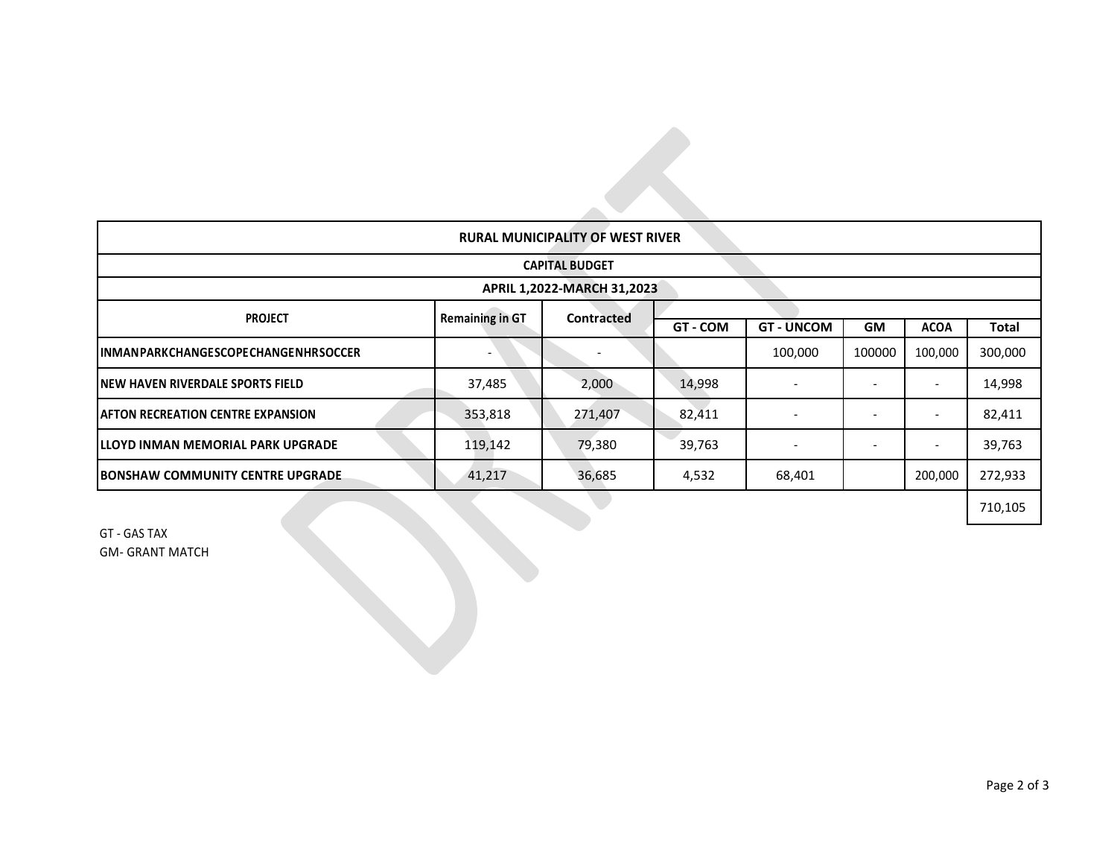| <b>RURAL MUNICIPALITY OF WEST RIVER</b>    |                        |            |          |                          |           |                          |              |
|--------------------------------------------|------------------------|------------|----------|--------------------------|-----------|--------------------------|--------------|
| <b>CAPITAL BUDGET</b>                      |                        |            |          |                          |           |                          |              |
| APRIL 1,2022-MARCH 31,2023                 |                        |            |          |                          |           |                          |              |
| <b>PROJECT</b>                             | <b>Remaining in GT</b> | Contracted |          |                          |           |                          |              |
|                                            |                        |            | GT - COM | <b>GT - UNCOM</b>        | <b>GM</b> | <b>ACOA</b>              | <b>Total</b> |
| <b>INMANPARKCHANGESCOPECHANGENHRSOCCER</b> |                        |            |          | 100,000                  | 100000    | 100,000                  | 300,000      |
| INEW HAVEN RIVERDALE SPORTS FIELD          | 37,485                 | 2,000      | 14,998   |                          |           |                          | 14,998       |
| <b>AFTON RECREATION CENTRE EXPANSION</b>   | 353,818                | 271,407    | 82,411   | $\overline{\phantom{a}}$ |           | $\overline{\phantom{a}}$ | 82,411       |
| ILLOYD INMAN MEMORIAL PARK UPGRADE         | 119,142                | 79,380     | 39,763   |                          |           |                          | 39,763       |
| <b>BONSHAW COMMUNITY CENTRE UPGRADE</b>    | 41,217                 | 36,685     | 4,532    | 68,401                   |           | 200,000                  | 272,933      |
|                                            |                        |            |          |                          |           |                          | 710,105      |

GT - GAS TAX GM- GRANT MATCH